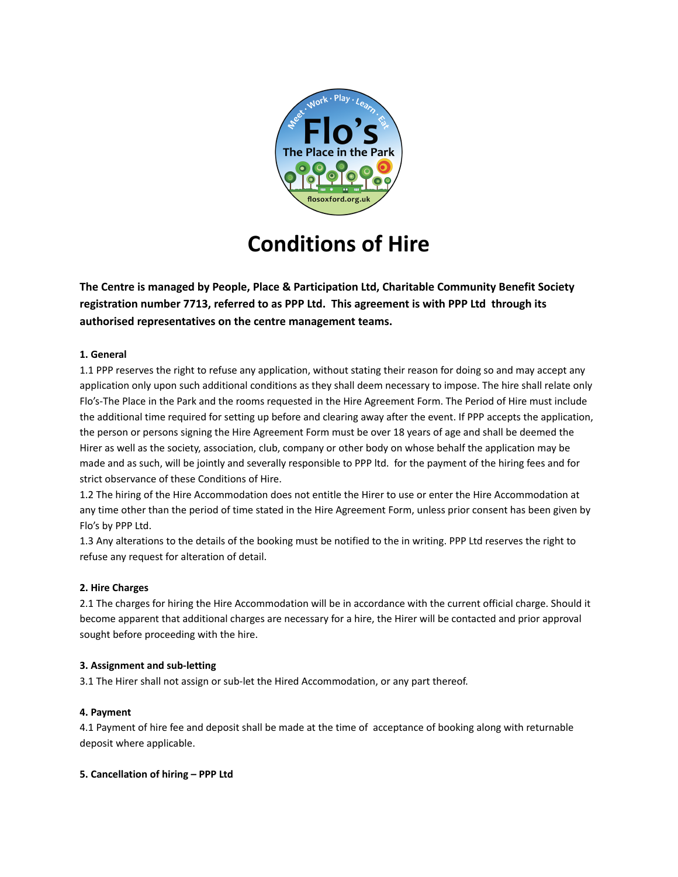

# **Conditions of Hire**

**The Centre is managed by People, Place & Participation Ltd, Charitable Community Benefit Society registration number 7713, referred to as PPP Ltd. This agreement is with PPP Ltd through its authorised representatives on the centre management teams.**

## **1. General**

1.1 PPP reserves the right to refuse any application, without stating their reason for doing so and may accept any application only upon such additional conditions as they shall deem necessary to impose. The hire shall relate only Flo's-The Place in the Park and the rooms requested in the Hire Agreement Form. The Period of Hire must include the additional time required for setting up before and clearing away after the event. If PPP accepts the application, the person or persons signing the Hire Agreement Form must be over 18 years of age and shall be deemed the Hirer as well as the society, association, club, company or other body on whose behalf the application may be made and as such, will be jointly and severally responsible to PPP ltd. for the payment of the hiring fees and for strict observance of these Conditions of Hire.

1.2 The hiring of the Hire Accommodation does not entitle the Hirer to use or enter the Hire Accommodation at any time other than the period of time stated in the Hire Agreement Form, unless prior consent has been given by Flo's by PPP Ltd.

1.3 Any alterations to the details of the booking must be notified to the in writing. PPP Ltd reserves the right to refuse any request for alteration of detail.

### **2. Hire Charges**

2.1 The charges for hiring the Hire Accommodation will be in accordance with the current official charge. Should it become apparent that additional charges are necessary for a hire, the Hirer will be contacted and prior approval sought before proceeding with the hire.

### **3. Assignment and sub-letting**

3.1 The Hirer shall not assign or sub-let the Hired Accommodation, or any part thereof.

### **4. Payment**

4.1 Payment of hire fee and deposit shall be made at the time of acceptance of booking along with returnable deposit where applicable.

### **5. Cancellation of hiring – PPP Ltd**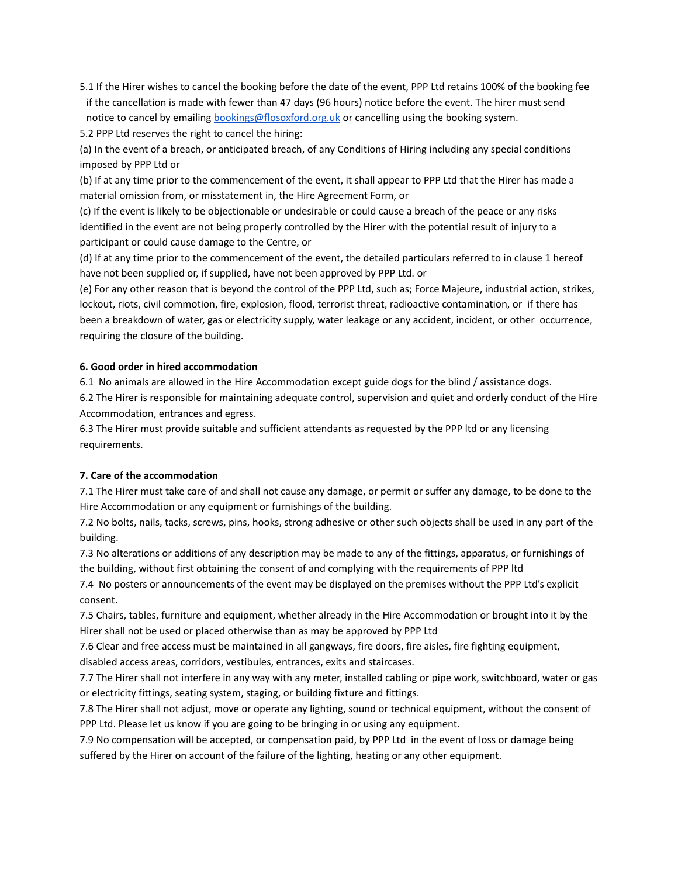5.1 If the Hirer wishes to cancel the booking before the date of the event, PPP Ltd retains 100% of the booking fee if the cancellation is made with fewer than 47 days (96 hours) notice before the event. The hirer must send notice to cancel by emailing [bookings@flosoxford.org.uk](mailto:bookings@flosoxford.org.uk) or cancelling using the booking system.

5.2 PPP Ltd reserves the right to cancel the hiring:

(a) In the event of a breach, or anticipated breach, of any Conditions of Hiring including any special conditions imposed by PPP Ltd or

(b) If at any time prior to the commencement of the event, it shall appear to PPP Ltd that the Hirer has made a material omission from, or misstatement in, the Hire Agreement Form, or

(c) If the event is likely to be objectionable or undesirable or could cause a breach of the peace or any risks identified in the event are not being properly controlled by the Hirer with the potential result of injury to a participant or could cause damage to the Centre, or

(d) If at any time prior to the commencement of the event, the detailed particulars referred to in clause 1 hereof have not been supplied or, if supplied, have not been approved by PPP Ltd. or

(e) For any other reason that is beyond the control of the PPP Ltd, such as; Force Majeure, industrial action, strikes, lockout, riots, civil commotion, fire, explosion, flood, terrorist threat, radioactive contamination, or if there has been a breakdown of water, gas or electricity supply, water leakage or any accident, incident, or other occurrence, requiring the closure of the building.

#### **6. Good order in hired accommodation**

6.1 No animals are allowed in the Hire Accommodation except guide dogs for the blind / assistance dogs.

6.2 The Hirer is responsible for maintaining adequate control, supervision and quiet and orderly conduct of the Hire Accommodation, entrances and egress.

6.3 The Hirer must provide suitable and sufficient attendants as requested by the PPP ltd or any licensing requirements.

### **7. Care of the accommodation**

7.1 The Hirer must take care of and shall not cause any damage, or permit or suffer any damage, to be done to the Hire Accommodation or any equipment or furnishings of the building.

7.2 No bolts, nails, tacks, screws, pins, hooks, strong adhesive or other such objects shall be used in any part of the building.

7.3 No alterations or additions of any description may be made to any of the fittings, apparatus, or furnishings of the building, without first obtaining the consent of and complying with the requirements of PPP ltd

7.4 No posters or announcements of the event may be displayed on the premises without the PPP Ltd's explicit consent.

7.5 Chairs, tables, furniture and equipment, whether already in the Hire Accommodation or brought into it by the Hirer shall not be used or placed otherwise than as may be approved by PPP Ltd

7.6 Clear and free access must be maintained in all gangways, fire doors, fire aisles, fire fighting equipment, disabled access areas, corridors, vestibules, entrances, exits and staircases.

7.7 The Hirer shall not interfere in any way with any meter, installed cabling or pipe work, switchboard, water or gas or electricity fittings, seating system, staging, or building fixture and fittings.

7.8 The Hirer shall not adjust, move or operate any lighting, sound or technical equipment, without the consent of PPP Ltd. Please let us know if you are going to be bringing in or using any equipment.

7.9 No compensation will be accepted, or compensation paid, by PPP Ltd in the event of loss or damage being suffered by the Hirer on account of the failure of the lighting, heating or any other equipment.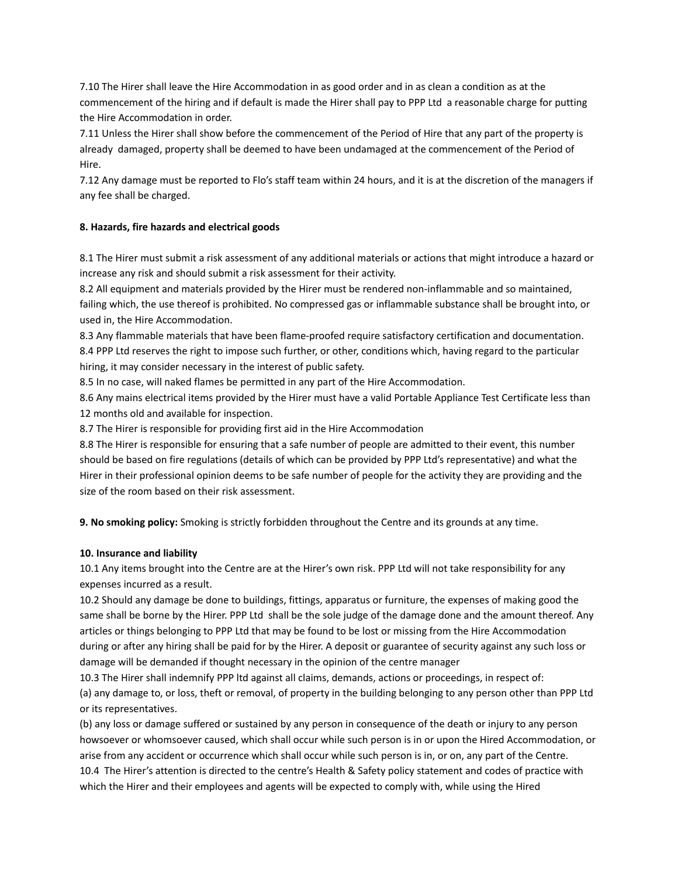7.10 The Hirer shall leave the Hire Accommodation in as good order and in as clean a condition as at the commencement of the hiring and if default is made the Hirer shall pay to PPP Ltd a reasonable charge for putting the Hire Accommodation in order.

7.11 Unless the Hirer shall show before the commencement of the Period of Hire that any part of the property is already damaged, property shall be deemed to have been undamaged at the commencement of the Period of Hire.

7.12 Any damage must be reported to Flo's staff team within 24 hours, and it is at the discretion of the managers if any fee shall be charged.

### **8. Hazards, fire hazards and electrical goods**

8.1 The Hirer must submit a risk assessment of any additional materials or actions that might introduce a hazard or increase any risk and should submit a risk assessment for their activity.

8.2 All equipment and materials provided by the Hirer must be rendered non-inflammable and so maintained, failing which, the use thereof is prohibited. No compressed gas or inflammable substance shall be brought into, or used in, the Hire Accommodation.

8.3 Any flammable materials that have been flame-proofed require satisfactory certification and documentation. 8.4 PPP Ltd reserves the right to impose such further, or other, conditions which, having regard to the particular hiring, it may consider necessary in the interest of public safety.

8.5 In no case, will naked flames be permitted in any part of the Hire Accommodation.

8.6 Any mains electrical items provided by the Hirer must have a valid Portable Appliance Test Certificate less than 12 months old and available for inspection.

8.7 The Hirer is responsible for providing first aid in the Hire Accommodation

8.8 The Hirer is responsible for ensuring that a safe number of people are admitted to their event, this number should be based on fire regulations (details of which can be provided by PPP Ltd's representative) and what the Hirer in their professional opinion deems to be safe number of people for the activity they are providing and the size of the room based on their risk assessment.

**9. No smoking policy:** Smoking is strictly forbidden throughout the Centre and its grounds at any time.

### **10. Insurance and liability**

10.1 Any items brought into the Centre are at the Hirer's own risk. PPP Ltd will not take responsibility for any expenses incurred as a result.

10.2 Should any damage be done to buildings, fittings, apparatus or furniture, the expenses of making good the same shall be borne by the Hirer. PPP Ltd shall be the sole judge of the damage done and the amount thereof. Any articles or things belonging to PPP Ltd that may be found to be lost or missing from the Hire Accommodation during or after any hiring shall be paid for by the Hirer. A deposit or guarantee of security against any such loss or damage will be demanded if thought necessary in the opinion of the centre manager

10.3 The Hirer shall indemnify PPP ltd against all claims, demands, actions or proceedings, in respect of: (a) any damage to, or loss, theft or removal, of property in the building belonging to any person other than PPP Ltd or its representatives.

(b) any loss or damage suffered or sustained by any person in consequence of the death or injury to any person howsoever or whomsoever caused, which shall occur while such person is in or upon the Hired Accommodation, or arise from any accident or occurrence which shall occur while such person is in, or on, any part of the Centre. 10.4 The Hirer's attention is directed to the centre's Health & Safety policy statement and codes of practice with which the Hirer and their employees and agents will be expected to comply with, while using the Hired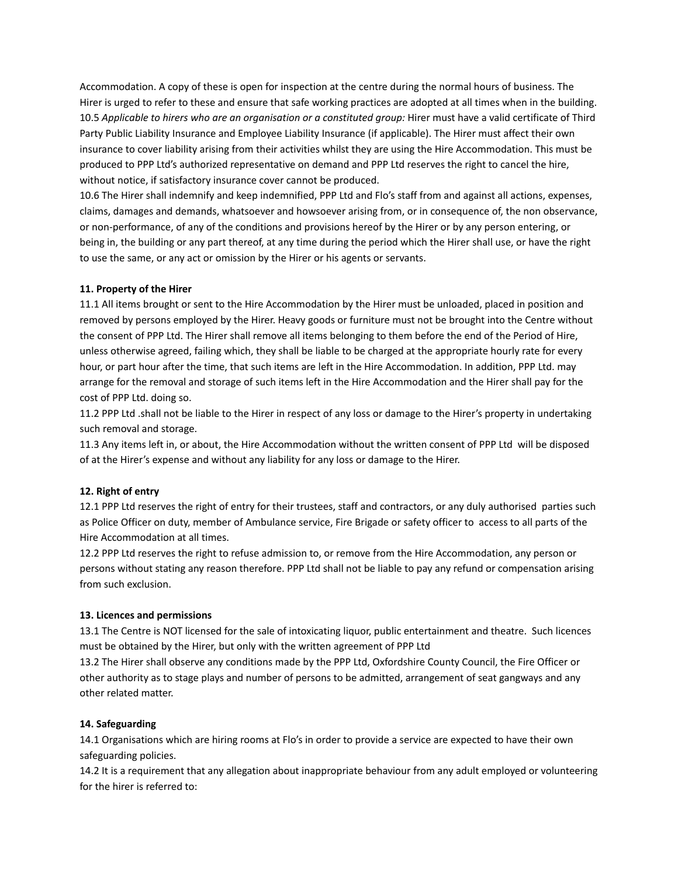Accommodation. A copy of these is open for inspection at the centre during the normal hours of business. The Hirer is urged to refer to these and ensure that safe working practices are adopted at all times when in the building. 10.5 *Applicable to hirers who are an organisation or a constituted group:* Hirer must have a valid certificate of Third Party Public Liability Insurance and Employee Liability Insurance (if applicable). The Hirer must affect their own insurance to cover liability arising from their activities whilst they are using the Hire Accommodation. This must be produced to PPP Ltd's authorized representative on demand and PPP Ltd reserves the right to cancel the hire, without notice, if satisfactory insurance cover cannot be produced.

10.6 The Hirer shall indemnify and keep indemnified, PPP Ltd and Flo's staff from and against all actions, expenses, claims, damages and demands, whatsoever and howsoever arising from, or in consequence of, the non observance, or non-performance, of any of the conditions and provisions hereof by the Hirer or by any person entering, or being in, the building or any part thereof, at any time during the period which the Hirer shall use, or have the right to use the same, or any act or omission by the Hirer or his agents or servants.

### **11. Property of the Hirer**

11.1 All items brought or sent to the Hire Accommodation by the Hirer must be unloaded, placed in position and removed by persons employed by the Hirer. Heavy goods or furniture must not be brought into the Centre without the consent of PPP Ltd. The Hirer shall remove all items belonging to them before the end of the Period of Hire, unless otherwise agreed, failing which, they shall be liable to be charged at the appropriate hourly rate for every hour, or part hour after the time, that such items are left in the Hire Accommodation. In addition, PPP Ltd. may arrange for the removal and storage of such items left in the Hire Accommodation and the Hirer shall pay for the cost of PPP Ltd. doing so.

11.2 PPP Ltd .shall not be liable to the Hirer in respect of any loss or damage to the Hirer's property in undertaking such removal and storage.

11.3 Any items left in, or about, the Hire Accommodation without the written consent of PPP Ltd will be disposed of at the Hirer's expense and without any liability for any loss or damage to the Hirer.

### **12. Right of entry**

12.1 PPP Ltd reserves the right of entry for their trustees, staff and contractors, or any duly authorised parties such as Police Officer on duty, member of Ambulance service, Fire Brigade or safety officer to access to all parts of the Hire Accommodation at all times.

12.2 PPP Ltd reserves the right to refuse admission to, or remove from the Hire Accommodation, any person or persons without stating any reason therefore. PPP Ltd shall not be liable to pay any refund or compensation arising from such exclusion.

### **13. Licences and permissions**

13.1 The Centre is NOT licensed for the sale of intoxicating liquor, public entertainment and theatre. Such licences must be obtained by the Hirer, but only with the written agreement of PPP Ltd

13.2 The Hirer shall observe any conditions made by the PPP Ltd, Oxfordshire County Council, the Fire Officer or other authority as to stage plays and number of persons to be admitted, arrangement of seat gangways and any other related matter.

### **14. Safeguarding**

14.1 Organisations which are hiring rooms at Flo's in order to provide a service are expected to have their own safeguarding policies.

14.2 It is a requirement that any allegation about inappropriate behaviour from any adult employed or volunteering for the hirer is referred to: